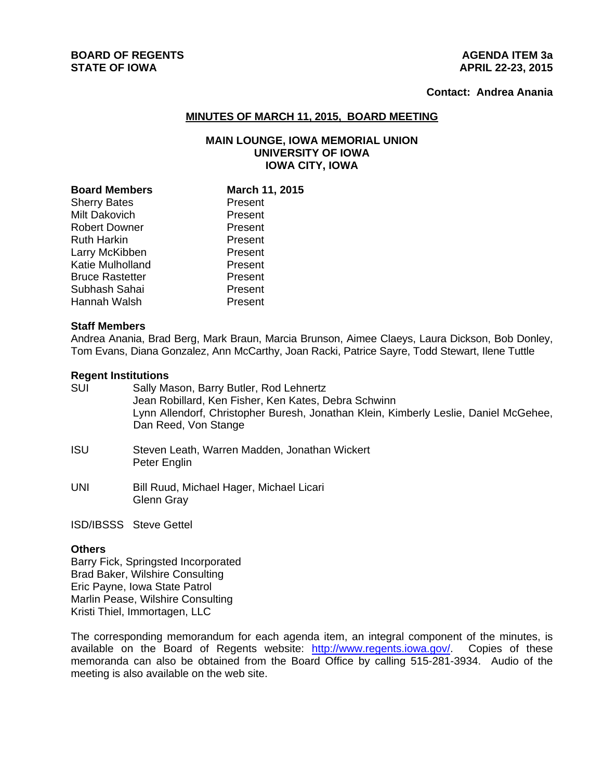# **BOARD OF REGENTS AGENUS AGENERATION CONSUMING AGENERATION AGENERATION AGENERATION STATE OF IOWA** APRIL 22-23, 2015

# **Contact: Andrea Anania**

#### **MINUTES OF MARCH 11, 2015, BOARD MEETING**

### **MAIN LOUNGE, IOWA MEMORIAL UNION UNIVERSITY OF IOWA IOWA CITY, IOWA**

| <b>Board Members</b>   | March 11, 2015 |
|------------------------|----------------|
| <b>Sherry Bates</b>    | Present        |
| Milt Dakovich          | Present        |
| <b>Robert Downer</b>   | Present        |
| <b>Ruth Harkin</b>     | Present        |
| Larry McKibben         | Present        |
| Katie Mulholland       | Present        |
| <b>Bruce Rastetter</b> | Present        |
| Subhash Sahai          | Present        |
| Hannah Walsh           | Present        |

#### **Staff Members**

Andrea Anania, Brad Berg, Mark Braun, Marcia Brunson, Aimee Claeys, Laura Dickson, Bob Donley, Tom Evans, Diana Gonzalez, Ann McCarthy, Joan Racki, Patrice Sayre, Todd Stewart, Ilene Tuttle

#### **Regent Institutions**

- SUI Sally Mason, Barry Butler, Rod Lehnertz Jean Robillard, Ken Fisher, Ken Kates, Debra Schwinn Lynn Allendorf, Christopher Buresh, Jonathan Klein, Kimberly Leslie, Daniel McGehee, Dan Reed, Von Stange
- ISU Steven Leath, Warren Madden, Jonathan Wickert Peter Englin
- UNI Bill Ruud, Michael Hager, Michael Licari Glenn Gray

ISD/IBSSS Steve Gettel

# **Others**

Barry Fick, Springsted Incorporated Brad Baker, Wilshire Consulting Eric Payne, Iowa State Patrol Marlin Pease, Wilshire Consulting Kristi Thiel, Immortagen, LLC

The corresponding memorandum for each agenda item, an integral component of the minutes, is available on the Board of Regents website: http://www.regents.iowa.gov/. Copies of these memoranda can also be obtained from the Board Office by calling 515-281-3934. Audio of the meeting is also available on the web site.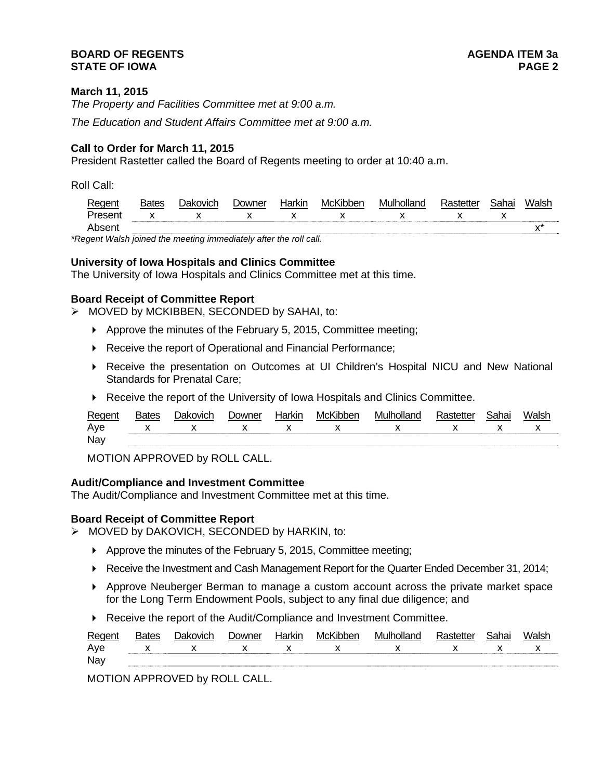### **BOARD OF REGENTS AGENER AGENERAL LIMIT CONTROL STATE OF IOWA PAGE 2**

### **March 11, 2015**

*The Property and Facilities Committee met at 9:00 a.m.* 

*The Education and Student Affairs Committee met at 9:00 a.m.* 

# **Call to Order for March 11, 2015**

President Rastetter called the Board of Regents meeting to order at 10:40 a.m.

Roll Call:

| Regent  | <b>Bates</b> | <b>Dakovich</b> | Jowner | Harkin | McKibben | Mulholland | Rastetter | Sahai | Walsh |
|---------|--------------|-----------------|--------|--------|----------|------------|-----------|-------|-------|
| Present |              | Y               |        |        |          |            |           |       |       |
| Absent  |              |                 |        |        |          |            |           |       |       |

*\*Regent Walsh joined the meeting immediately after the roll call.* 

# **University of Iowa Hospitals and Clinics Committee**

The University of Iowa Hospitals and Clinics Committee met at this time.

### **Board Receipt of Committee Report**

 $\triangleright$  MOVED by MCKIBBEN, SECONDED by SAHAI, to:

- Approve the minutes of the February 5, 2015, Committee meeting;
- ▶ Receive the report of Operational and Financial Performance;
- Receive the presentation on Outcomes at UI Children's Hospital NICU and New National Standards for Prenatal Care;
- Receive the report of the University of Iowa Hospitals and Clinics Committee.

| Regent | <b>'atec</b> | )akovich     |              | NH           | – iMC <sup>iz</sup> | - 11/11 11 11 |              |  |
|--------|--------------|--------------|--------------|--------------|---------------------|---------------|--------------|--|
| Ave    | $\mathbf{v}$ | $\mathbf{Y}$ | $\mathbf{x}$ | $\mathsf{X}$ |                     | $\mathbf{x}$  | $\mathbf{Y}$ |  |
| Nay    |              |              |              |              |                     |               |              |  |

MOTION APPROVED by ROLL CALL.

### **Audit/Compliance and Investment Committee**

The Audit/Compliance and Investment Committee met at this time.

#### **Board Receipt of Committee Report**

> MOVED by DAKOVICH, SECONDED by HARKIN, to:

- Approve the minutes of the February 5, 2015, Committee meeting;
- Receive the Investment and Cash Management Report for the Quarter Ended December 31, 2014;
- Approve Neuberger Berman to manage a custom account across the private market space for the Long Term Endowment Pools, subject to any final due diligence; and
- Receive the report of the Audit/Compliance and Investment Committee.

| Regent | <b>Bates</b> | Jakovich        | Downer | Harkin | McKibben | Mulholland                              | Rastetter | Sahai | Walsh        |  |
|--------|--------------|-----------------|--------|--------|----------|-----------------------------------------|-----------|-------|--------------|--|
| Ave    |              | $X$ $X$ $X$ $X$ |        |        |          | $\mathsf X$ x $\mathsf X$ x $\mathsf X$ |           |       | $\mathsf{X}$ |  |
| Nay    |              |                 |        |        |          |                                         |           |       |              |  |

MOTION APPROVED by ROLL CALL.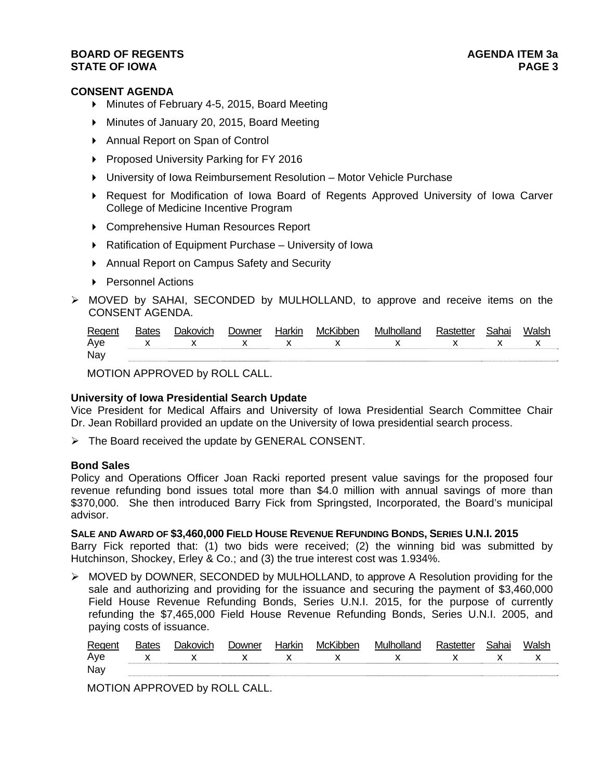### **BOARD OF REGENTS AGENER AGENERAL LIMIT CONTROL STATE OF IOWA** PAGE 3

### **CONSENT AGENDA**

- Minutes of February 4-5, 2015, Board Meeting
- Minutes of January 20, 2015, Board Meeting
- ▶ Annual Report on Span of Control
- ▶ Proposed University Parking for FY 2016
- University of Iowa Reimbursement Resolution Motor Vehicle Purchase
- Request for Modification of Iowa Board of Regents Approved University of Iowa Carver College of Medicine Incentive Program
- Comprehensive Human Resources Report
- ▶ Ratification of Equipment Purchase University of Iowa
- Annual Report on Campus Safety and Security
- ▶ Personnel Actions
- MOVED by SAHAI, SECONDED by MULHOLLAND, to approve and receive items on the CONSENT AGENDA.

| Regent |              | ovich        | )owner | Harkır | ⊥MCK | nollone<br>M' |              |  |
|--------|--------------|--------------|--------|--------|------|---------------|--------------|--|
| Ave    | $\checkmark$ | $\checkmark$ |        |        |      | $\checkmark$  | $\mathbf{v}$ |  |
| Nay    |              |              |        |        |      |               |              |  |

MOTION APPROVED by ROLL CALL.

#### **University of Iowa Presidential Search Update**

Vice President for Medical Affairs and University of Iowa Presidential Search Committee Chair Dr. Jean Robillard provided an update on the University of Iowa presidential search process.

 $\triangleright$  The Board received the update by GENERAL CONSENT.

### **Bond Sales**

Policy and Operations Officer Joan Racki reported present value savings for the proposed four revenue refunding bond issues total more than \$4.0 million with annual savings of more than \$370,000. She then introduced Barry Fick from Springsted, Incorporated, the Board's municipal advisor.

**SALE AND AWARD OF \$3,460,000 FIELD HOUSE REVENUE REFUNDING BONDS, SERIES U.N.I. 2015** Barry Fick reported that: (1) two bids were received; (2) the winning bid was submitted by Hutchinson, Shockey, Erley & Co.; and (3) the true interest cost was 1.934%.

 $\triangleright$  MOVED by DOWNER, SECONDED by MULHOLLAND, to approve A Resolution providing for the sale and authorizing and providing for the issuance and securing the payment of \$3,460,000 Field House Revenue Refunding Bonds, Series U.N.I. 2015, for the purpose of currently refunding the \$7,465,000 Field House Revenue Refunding Bonds, Series U.N.I. 2005, and paying costs of issuance.

| Regent | Bates | Dakovich     | Jowner | Harkır | McKibben | Mulholland   |              | Jai la' | Walsh |
|--------|-------|--------------|--------|--------|----------|--------------|--------------|---------|-------|
| Aye    |       | $\mathbf{v}$ |        |        |          | $\mathbf{x}$ | $\mathbf{x}$ |         |       |
| Nay    |       |              |        |        |          |              |              |         |       |

MOTION APPROVED by ROLL CALL.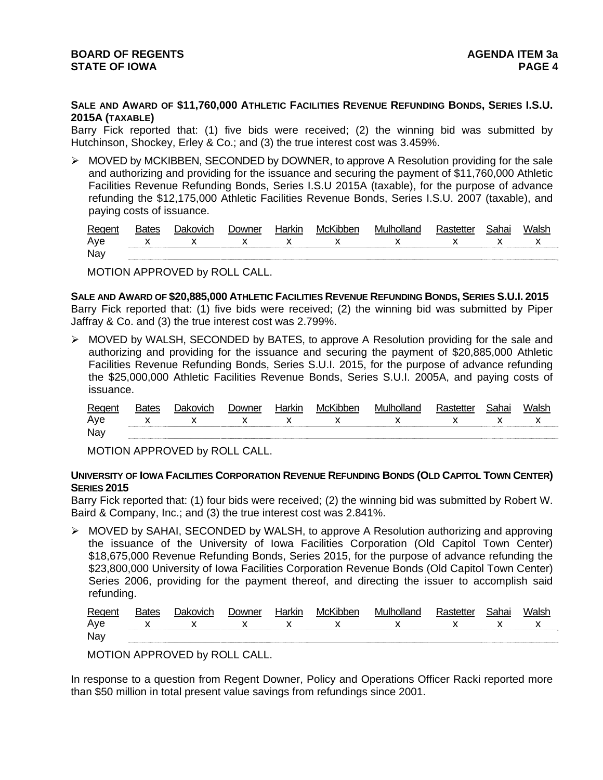**SALE AND AWARD OF \$11,760,000 ATHLETIC FACILITIES REVENUE REFUNDING BONDS, SERIES I.S.U. 2015A (TAXABLE)**

Barry Fick reported that: (1) five bids were received; (2) the winning bid was submitted by Hutchinson, Shockey, Erley & Co.; and (3) the true interest cost was 3.459%.

 $\triangleright$  MOVED by MCKIBBEN, SECONDED by DOWNER, to approve A Resolution providing for the sale and authorizing and providing for the issuance and securing the payment of \$11,760,000 Athletic Facilities Revenue Refunding Bonds, Series I.S.U 2015A (taxable), for the purpose of advance refunding the \$12,175,000 Athletic Facilities Revenue Bonds, Series I.S.U. 2007 (taxable), and paying costs of issuance.

| Regent | <b>Bates</b> | <b>Dakovich</b>                                                     | Downer | Harkin | McKibben | Mulholland | Rastetter | Sahai | Walsh |
|--------|--------------|---------------------------------------------------------------------|--------|--------|----------|------------|-----------|-------|-------|
| Ave    |              | $\begin{array}{ccccc} & & \times & & \times & & \times \end{array}$ |        |        |          | x x x x x  |           |       |       |
| Nay    |              |                                                                     |        |        |          |            |           |       |       |

MOTION APPROVED by ROLL CALL.

**SALE AND AWARD OF \$20,885,000 ATHLETIC FACILITIES REVENUE REFUNDING BONDS, SERIES S.U.I. 2015** Barry Fick reported that: (1) five bids were received; (2) the winning bid was submitted by Piper Jaffray & Co. and (3) the true interest cost was 2.799%.

 MOVED by WALSH, SECONDED by BATES, to approve A Resolution providing for the sale and authorizing and providing for the issuance and securing the payment of \$20,885,000 Athletic Facilities Revenue Refunding Bonds, Series S.U.I. 2015, for the purpose of advance refunding the \$25,000,000 Athletic Facilities Revenue Bonds, Series S.U.I. 2005A, and paying costs of issuance.

| Regent | <b>Bates</b> | Jakovich | Jowner | Harkin | McKibber | Mulholland | 3ahai | Walsh |
|--------|--------------|----------|--------|--------|----------|------------|-------|-------|
| Aye    |              |          |        |        |          |            |       |       |
| Nay    |              |          |        |        |          |            |       |       |

MOTION APPROVED by ROLL CALL.

### **UNIVERSITY OF IOWA FACILITIES CORPORATION REVENUE REFUNDING BONDS (OLD CAPITOL TOWN CENTER) SERIES 2015**

Barry Fick reported that: (1) four bids were received; (2) the winning bid was submitted by Robert W. Baird & Company, Inc.; and (3) the true interest cost was 2.841%.

 MOVED by SAHAI, SECONDED by WALSH, to approve A Resolution authorizing and approving the issuance of the University of Iowa Facilities Corporation (Old Capitol Town Center) \$18,675,000 Revenue Refunding Bonds, Series 2015, for the purpose of advance refunding the \$23,800,000 University of Iowa Facilities Corporation Revenue Bonds (Old Capitol Town Center) Series 2006, providing for the payment thereof, and directing the issuer to accomplish said refunding.

| Regent | <b>Bates</b> | <b>Dakovich</b> | Downer | Harkin | McKibber | Mulholland        | Rastetter | Sahai | Walsh        |
|--------|--------------|-----------------|--------|--------|----------|-------------------|-----------|-------|--------------|
| Aye    |              |                 |        |        |          | x x x x x x x x x |           |       | $\mathsf{X}$ |
| Nay    |              |                 |        |        |          |                   |           |       |              |

MOTION APPROVED by ROLL CALL.

In response to a question from Regent Downer, Policy and Operations Officer Racki reported more than \$50 million in total present value savings from refundings since 2001.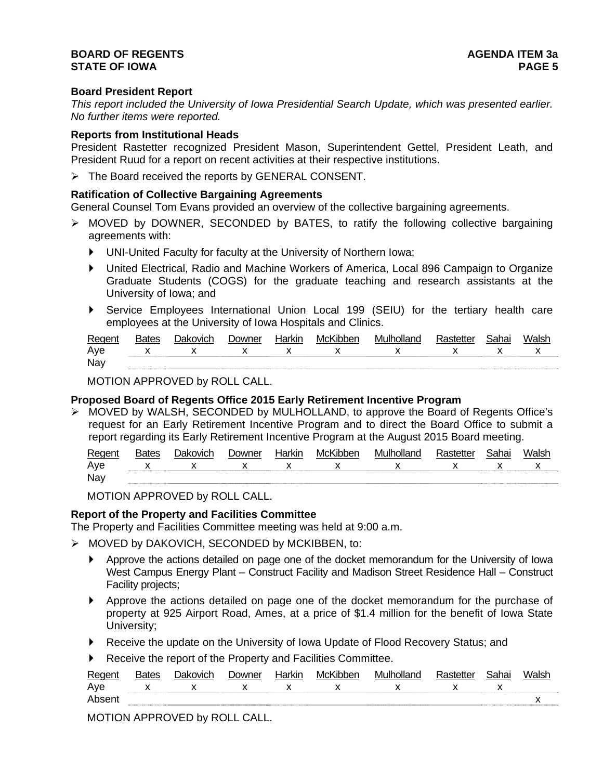### **BOARD OF REGENTS AGENER AGENERAL LIMIT CONTROL STATE OF IOWA** PAGE 5

### **Board President Report**

*This report included the University of Iowa Presidential Search Update, which was presented earlier. No further items were reported.* 

### **Reports from Institutional Heads**

President Rastetter recognized President Mason, Superintendent Gettel, President Leath, and President Ruud for a report on recent activities at their respective institutions.

 $\triangleright$  The Board received the reports by GENERAL CONSENT.

#### **Ratification of Collective Bargaining Agreements**

General Counsel Tom Evans provided an overview of the collective bargaining agreements.

- MOVED by DOWNER, SECONDED by BATES, to ratify the following collective bargaining agreements with:
	- UNI-United Faculty for faculty at the University of Northern Iowa;
	- United Electrical, Radio and Machine Workers of America, Local 896 Campaign to Organize Graduate Students (COGS) for the graduate teaching and research assistants at the University of Iowa; and
	- Service Employees International Union Local 199 (SEIU) for the tertiary health care employees at the University of Iowa Hospitals and Clinics.

| Regent | ומו | ⊃owner | kır | bber<br>– iM∩" | MI | <u>_</u> | 'als. |
|--------|-----|--------|-----|----------------|----|----------|-------|
| Ave    |     |        |     |                |    |          |       |
| Nay    |     |        |     |                |    |          |       |

MOTION APPROVED by ROLL CALL.

### **Proposed Board of Regents Office 2015 Early Retirement Incentive Program**

 MOVED by WALSH, SECONDED by MULHOLLAND, to approve the Board of Regents Office's request for an Early Retirement Incentive Program and to direct the Board Office to submit a report regarding its Early Retirement Incentive Program at the August 2015 Board meeting.

| Regent     | Bates | ר <sup>-</sup> Oakovich | Jowner | Harkır | McKibben                 | Mulholland<br>าทน |                          | Walsh |
|------------|-------|-------------------------|--------|--------|--------------------------|-------------------|--------------------------|-------|
| Ave        |       | $\checkmark$            |        |        | $\overline{\phantom{a}}$ |                   | $\overline{\phantom{a}}$ | . .   |
| <b>Nay</b> |       |                         |        |        |                          |                   |                          |       |

MOTION APPROVED by ROLL CALL.

### **Report of the Property and Facilities Committee**

The Property and Facilities Committee meeting was held at 9:00 a.m.

- $\triangleright$  MOVED by DAKOVICH, SECONDED by MCKIBBEN, to:
	- Approve the actions detailed on page one of the docket memorandum for the University of Iowa West Campus Energy Plant – Construct Facility and Madison Street Residence Hall – Construct Facility projects;
	- Approve the actions detailed on page one of the docket memorandum for the purchase of property at 925 Airport Road, Ames, at a price of \$1.4 million for the benefit of Iowa State University;
	- Receive the update on the University of Iowa Update of Flood Recovery Status; and
	- Receive the report of the Property and Facilities Committee.

| Regent | Bates | Dakovich | Jowner | Harkir | McKibben | Mulholland | :tetter | Sahai | 'Walsh |
|--------|-------|----------|--------|--------|----------|------------|---------|-------|--------|
| Ave    |       |          |        |        |          |            |         | v     |        |
| Absent |       |          |        |        |          |            |         |       |        |

MOTION APPROVED by ROLL CALL.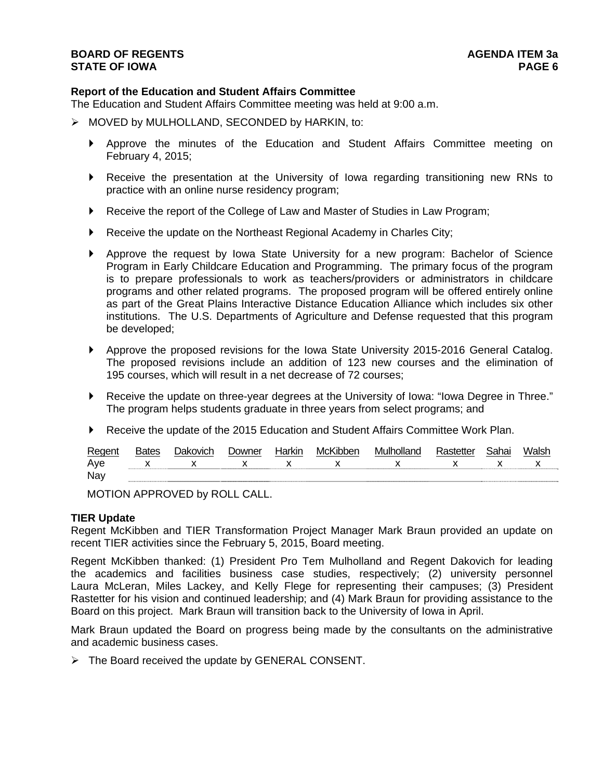### **Report of the Education and Student Affairs Committee**

The Education and Student Affairs Committee meeting was held at 9:00 a.m.

- $\triangleright$  MOVED by MULHOLLAND, SECONDED by HARKIN, to:
	- Approve the minutes of the Education and Student Affairs Committee meeting on February 4, 2015;
	- Receive the presentation at the University of Iowa regarding transitioning new RNs to practice with an online nurse residency program;
	- Receive the report of the College of Law and Master of Studies in Law Program;
	- Receive the update on the Northeast Regional Academy in Charles City;
	- Approve the request by Iowa State University for a new program: Bachelor of Science Program in Early Childcare Education and Programming. The primary focus of the program is to prepare professionals to work as teachers/providers or administrators in childcare programs and other related programs. The proposed program will be offered entirely online as part of the Great Plains Interactive Distance Education Alliance which includes six other institutions. The U.S. Departments of Agriculture and Defense requested that this program be developed;
	- Approve the proposed revisions for the Iowa State University 2015-2016 General Catalog. The proposed revisions include an addition of 123 new courses and the elimination of 195 courses, which will result in a net decrease of 72 courses;
	- Receive the update on three-year degrees at the University of Iowa: "Iowa Degree in Three." The program helps students graduate in three years from select programs; and
	- Receive the update of the 2015 Education and Student Affairs Committee Work Plan.

| Regent | <b>Bates</b> | Dakovich    | <b>Downer</b> | Harkin | McKibben | Mulholland | Rastetter | Sahai | Walsł        |
|--------|--------------|-------------|---------------|--------|----------|------------|-----------|-------|--------------|
| Aye    |              | $X$ x x x x |               |        |          | x x x x x  |           |       | $\mathsf{X}$ |
| Nay    |              |             |               |        |          |            |           |       |              |

MOTION APPROVED by ROLL CALL.

#### **TIER Update**

Regent McKibben and TIER Transformation Project Manager Mark Braun provided an update on recent TIER activities since the February 5, 2015, Board meeting.

Regent McKibben thanked: (1) President Pro Tem Mulholland and Regent Dakovich for leading the academics and facilities business case studies, respectively; (2) university personnel Laura McLeran, Miles Lackey, and Kelly Flege for representing their campuses; (3) President Rastetter for his vision and continued leadership; and (4) Mark Braun for providing assistance to the Board on this project. Mark Braun will transition back to the University of Iowa in April.

Mark Braun updated the Board on progress being made by the consultants on the administrative and academic business cases.

 $\triangleright$  The Board received the update by GENERAL CONSENT.